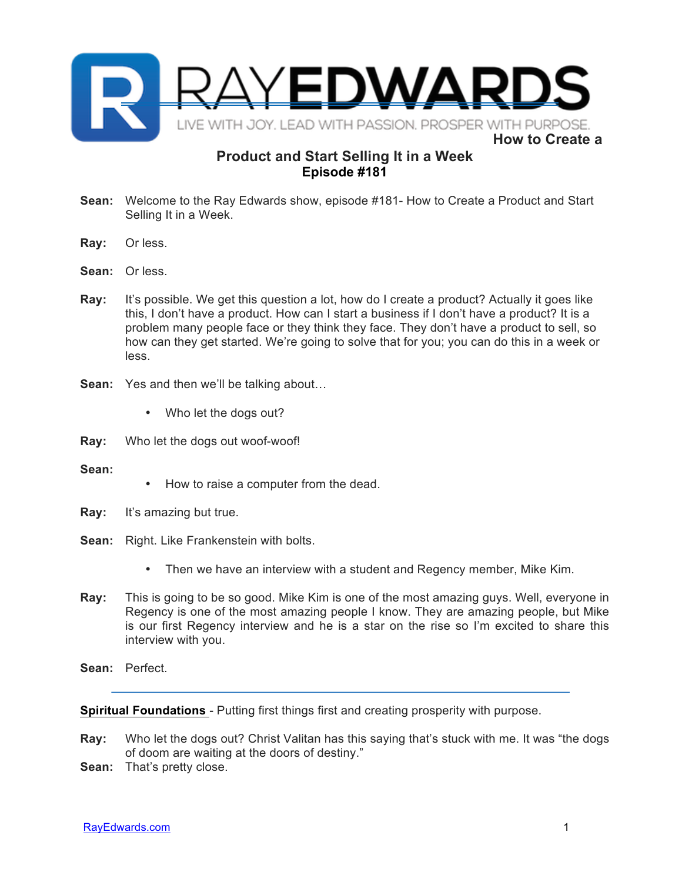

## **Product and Start Selling It in a Week Episode #181**

- **Sean:** Welcome to the Ray Edwards show, episode #181- How to Create a Product and Start Selling It in a Week.
- **Ray:** Or less.
- **Sean:** Or less.
- **Ray:** It's possible. We get this question a lot, how do I create a product? Actually it goes like this, I don't have a product. How can I start a business if I don't have a product? It is a problem many people face or they think they face. They don't have a product to sell, so how can they get started. We're going to solve that for you; you can do this in a week or less.
- **Sean:** Yes and then we'll be talking about…
	- Who let the dogs out?
- **Ray:** Who let the dogs out woof-woof!
- **Sean:**
- How to raise a computer from the dead.
- **Ray:** It's amazing but true.
- **Sean:** Right. Like Frankenstein with bolts.
	- Then we have an interview with a student and Regency member, Mike Kim.
- **Ray:** This is going to be so good. Mike Kim is one of the most amazing guys. Well, everyone in Regency is one of the most amazing people I know. They are amazing people, but Mike is our first Regency interview and he is a star on the rise so I'm excited to share this interview with you.
- **Sean:** Perfect.

**Spiritual Foundations** - Putting first things first and creating prosperity with purpose.

- **Ray:** Who let the dogs out? Christ Valitan has this saying that's stuck with me. It was "the dogs of doom are waiting at the doors of destiny."
- **Sean:** That's pretty close.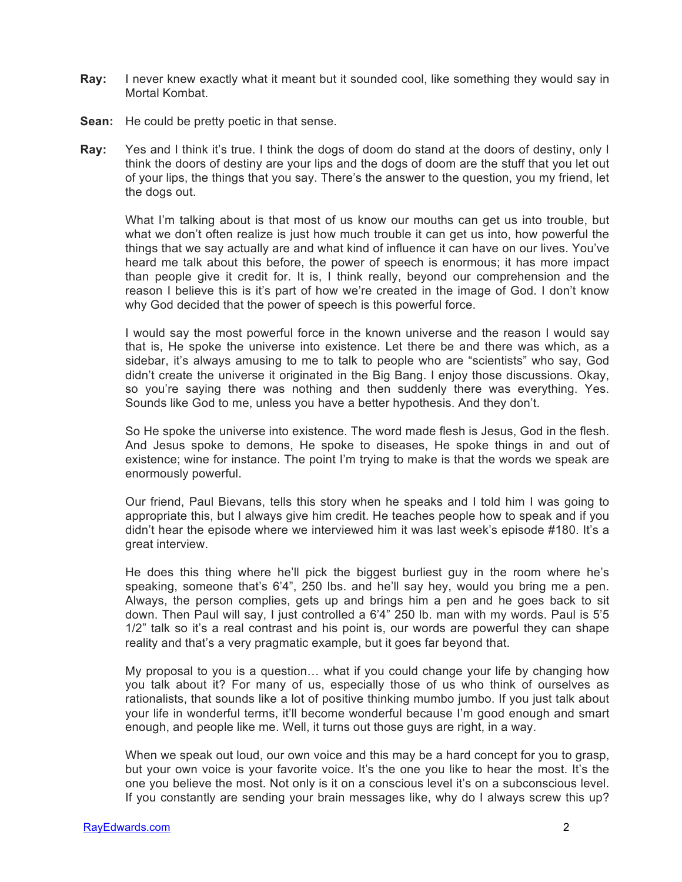- **Ray:** I never knew exactly what it meant but it sounded cool, like something they would say in Mortal Kombat.
- **Sean:** He could be pretty poetic in that sense.
- **Ray:** Yes and I think it's true. I think the dogs of doom do stand at the doors of destiny, only I think the doors of destiny are your lips and the dogs of doom are the stuff that you let out of your lips, the things that you say. There's the answer to the question, you my friend, let the dogs out.

What I'm talking about is that most of us know our mouths can get us into trouble, but what we don't often realize is just how much trouble it can get us into, how powerful the things that we say actually are and what kind of influence it can have on our lives. You've heard me talk about this before, the power of speech is enormous; it has more impact than people give it credit for. It is, I think really, beyond our comprehension and the reason I believe this is it's part of how we're created in the image of God. I don't know why God decided that the power of speech is this powerful force.

I would say the most powerful force in the known universe and the reason I would say that is, He spoke the universe into existence. Let there be and there was which, as a sidebar, it's always amusing to me to talk to people who are "scientists" who say, God didn't create the universe it originated in the Big Bang. I enjoy those discussions. Okay, so you're saying there was nothing and then suddenly there was everything. Yes. Sounds like God to me, unless you have a better hypothesis. And they don't.

So He spoke the universe into existence. The word made flesh is Jesus, God in the flesh. And Jesus spoke to demons, He spoke to diseases, He spoke things in and out of existence; wine for instance. The point I'm trying to make is that the words we speak are enormously powerful.

Our friend, Paul Bievans, tells this story when he speaks and I told him I was going to appropriate this, but I always give him credit. He teaches people how to speak and if you didn't hear the episode where we interviewed him it was last week's episode #180. It's a great interview.

He does this thing where he'll pick the biggest burliest guy in the room where he's speaking, someone that's 6'4", 250 lbs. and he'll say hey, would you bring me a pen. Always, the person complies, gets up and brings him a pen and he goes back to sit down. Then Paul will say, I just controlled a 6'4" 250 lb. man with my words. Paul is 5'5 1/2" talk so it's a real contrast and his point is, our words are powerful they can shape reality and that's a very pragmatic example, but it goes far beyond that.

My proposal to you is a question… what if you could change your life by changing how you talk about it? For many of us, especially those of us who think of ourselves as rationalists, that sounds like a lot of positive thinking mumbo jumbo. If you just talk about your life in wonderful terms, it'll become wonderful because I'm good enough and smart enough, and people like me. Well, it turns out those guys are right, in a way.

When we speak out loud, our own voice and this may be a hard concept for you to grasp, but your own voice is your favorite voice. It's the one you like to hear the most. It's the one you believe the most. Not only is it on a conscious level it's on a subconscious level. If you constantly are sending your brain messages like, why do I always screw this up?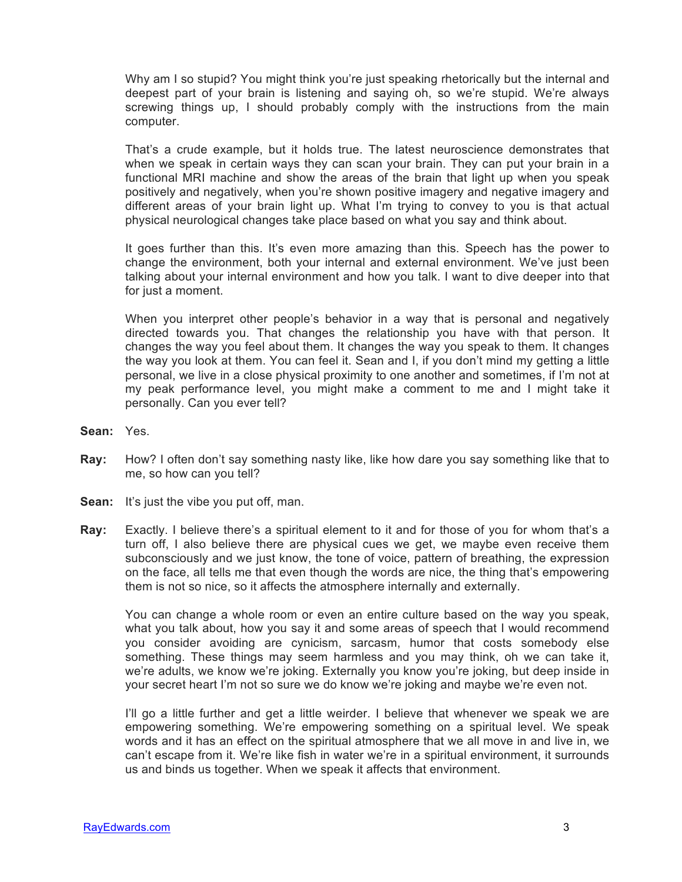Why am I so stupid? You might think you're just speaking rhetorically but the internal and deepest part of your brain is listening and saying oh, so we're stupid. We're always screwing things up, I should probably comply with the instructions from the main computer.

That's a crude example, but it holds true. The latest neuroscience demonstrates that when we speak in certain ways they can scan your brain. They can put your brain in a functional MRI machine and show the areas of the brain that light up when you speak positively and negatively, when you're shown positive imagery and negative imagery and different areas of your brain light up. What I'm trying to convey to you is that actual physical neurological changes take place based on what you say and think about.

It goes further than this. It's even more amazing than this. Speech has the power to change the environment, both your internal and external environment. We've just been talking about your internal environment and how you talk. I want to dive deeper into that for just a moment.

When you interpret other people's behavior in a way that is personal and negatively directed towards you. That changes the relationship you have with that person. It changes the way you feel about them. It changes the way you speak to them. It changes the way you look at them. You can feel it. Sean and I, if you don't mind my getting a little personal, we live in a close physical proximity to one another and sometimes, if I'm not at my peak performance level, you might make a comment to me and I might take it personally. Can you ever tell?

- **Sean:** Yes.
- **Ray:** How? I often don't say something nasty like, like how dare you say something like that to me, so how can you tell?
- **Sean:** It's just the vibe you put off, man.
- **Ray:** Exactly. I believe there's a spiritual element to it and for those of you for whom that's a turn off, I also believe there are physical cues we get, we maybe even receive them subconsciously and we just know, the tone of voice, pattern of breathing, the expression on the face, all tells me that even though the words are nice, the thing that's empowering them is not so nice, so it affects the atmosphere internally and externally.

You can change a whole room or even an entire culture based on the way you speak, what you talk about, how you say it and some areas of speech that I would recommend you consider avoiding are cynicism, sarcasm, humor that costs somebody else something. These things may seem harmless and you may think, oh we can take it, we're adults, we know we're joking. Externally you know you're joking, but deep inside in your secret heart I'm not so sure we do know we're joking and maybe we're even not.

I'll go a little further and get a little weirder. I believe that whenever we speak we are empowering something. We're empowering something on a spiritual level. We speak words and it has an effect on the spiritual atmosphere that we all move in and live in, we can't escape from it. We're like fish in water we're in a spiritual environment, it surrounds us and binds us together. When we speak it affects that environment.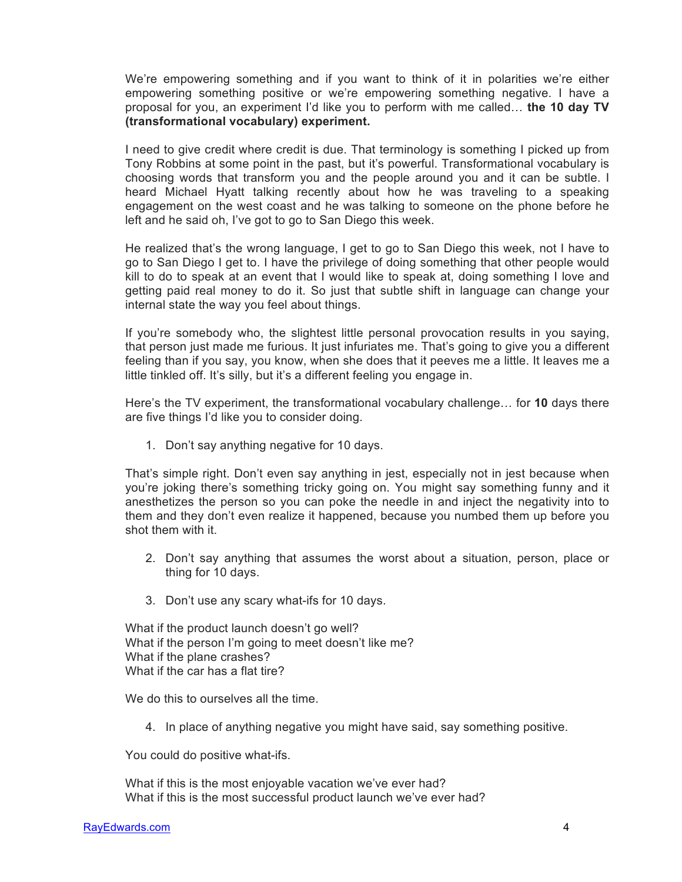We're empowering something and if you want to think of it in polarities we're either empowering something positive or we're empowering something negative. I have a proposal for you, an experiment I'd like you to perform with me called… **the 10 day TV (transformational vocabulary) experiment.**

I need to give credit where credit is due. That terminology is something I picked up from Tony Robbins at some point in the past, but it's powerful. Transformational vocabulary is choosing words that transform you and the people around you and it can be subtle. I heard Michael Hyatt talking recently about how he was traveling to a speaking engagement on the west coast and he was talking to someone on the phone before he left and he said oh, I've got to go to San Diego this week.

He realized that's the wrong language, I get to go to San Diego this week, not I have to go to San Diego I get to. I have the privilege of doing something that other people would kill to do to speak at an event that I would like to speak at, doing something I love and getting paid real money to do it. So just that subtle shift in language can change your internal state the way you feel about things.

If you're somebody who, the slightest little personal provocation results in you saying, that person just made me furious. It just infuriates me. That's going to give you a different feeling than if you say, you know, when she does that it peeves me a little. It leaves me a little tinkled off. It's silly, but it's a different feeling you engage in.

Here's the TV experiment, the transformational vocabulary challenge… for **10** days there are five things I'd like you to consider doing.

1. Don't say anything negative for 10 days.

That's simple right. Don't even say anything in jest, especially not in jest because when you're joking there's something tricky going on. You might say something funny and it anesthetizes the person so you can poke the needle in and inject the negativity into to them and they don't even realize it happened, because you numbed them up before you shot them with it.

- 2. Don't say anything that assumes the worst about a situation, person, place or thing for 10 days.
- 3. Don't use any scary what-ifs for 10 days.

What if the product launch doesn't go well? What if the person I'm going to meet doesn't like me? What if the plane crashes? What if the car has a flat tire?

We do this to ourselves all the time.

4. In place of anything negative you might have said, say something positive.

You could do positive what-ifs.

What if this is the most enjoyable vacation we've ever had? What if this is the most successful product launch we've ever had?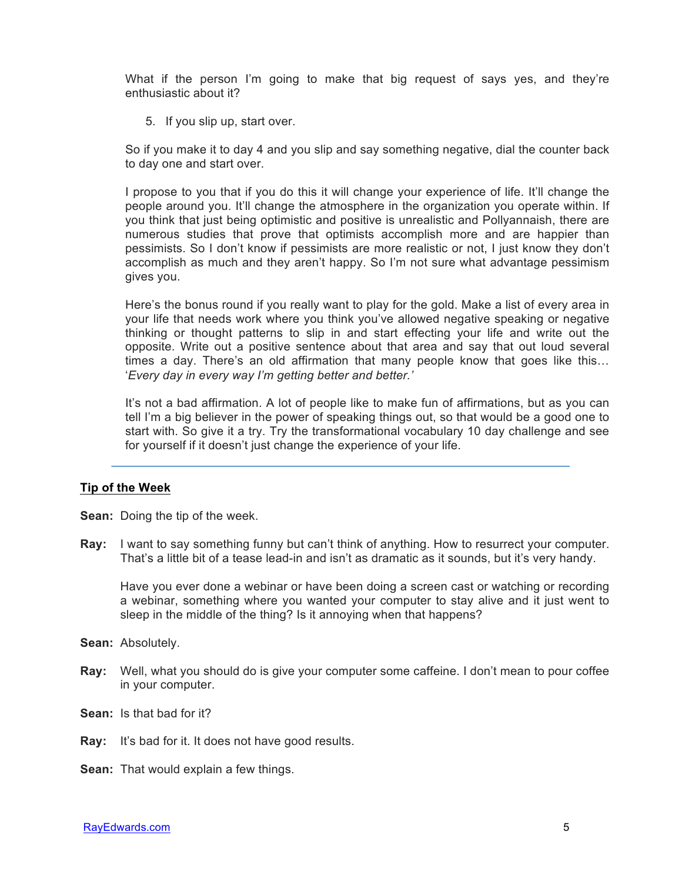What if the person I'm going to make that big request of says yes, and they're enthusiastic about it?

5. If you slip up, start over.

So if you make it to day 4 and you slip and say something negative, dial the counter back to day one and start over.

I propose to you that if you do this it will change your experience of life. It'll change the people around you. It'll change the atmosphere in the organization you operate within. If you think that just being optimistic and positive is unrealistic and Pollyannaish, there are numerous studies that prove that optimists accomplish more and are happier than pessimists. So I don't know if pessimists are more realistic or not, I just know they don't accomplish as much and they aren't happy. So I'm not sure what advantage pessimism gives you.

Here's the bonus round if you really want to play for the gold. Make a list of every area in your life that needs work where you think you've allowed negative speaking or negative thinking or thought patterns to slip in and start effecting your life and write out the opposite. Write out a positive sentence about that area and say that out loud several times a day. There's an old affirmation that many people know that goes like this… '*Every day in every way I'm getting better and better.'*

It's not a bad affirmation. A lot of people like to make fun of affirmations, but as you can tell I'm a big believer in the power of speaking things out, so that would be a good one to start with. So give it a try. Try the transformational vocabulary 10 day challenge and see for yourself if it doesn't just change the experience of your life.

## **Tip of the Week**

**Sean:** Doing the tip of the week.

**Ray:** I want to say something funny but can't think of anything. How to resurrect your computer. That's a little bit of a tease lead-in and isn't as dramatic as it sounds, but it's very handy.

Have you ever done a webinar or have been doing a screen cast or watching or recording a webinar, something where you wanted your computer to stay alive and it just went to sleep in the middle of the thing? Is it annoying when that happens?

- **Sean:** Absolutely.
- **Ray:** Well, what you should do is give your computer some caffeine. I don't mean to pour coffee in your computer.
- **Sean:** Is that bad for it?
- **Ray:** It's bad for it. It does not have good results.
- **Sean:** That would explain a few things.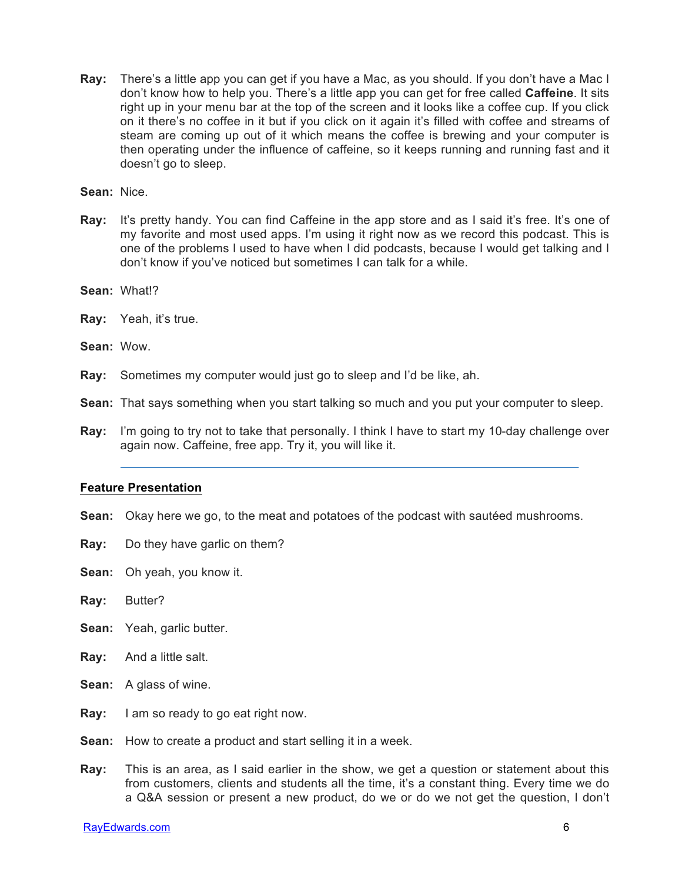**Ray:** There's a little app you can get if you have a Mac, as you should. If you don't have a Mac I don't know how to help you. There's a little app you can get for free called **Caffeine**. It sits right up in your menu bar at the top of the screen and it looks like a coffee cup. If you click on it there's no coffee in it but if you click on it again it's filled with coffee and streams of steam are coming up out of it which means the coffee is brewing and your computer is then operating under the influence of caffeine, so it keeps running and running fast and it doesn't go to sleep.

**Sean:** Nice.

**Ray:** It's pretty handy. You can find Caffeine in the app store and as I said it's free. It's one of my favorite and most used apps. I'm using it right now as we record this podcast. This is one of the problems I used to have when I did podcasts, because I would get talking and I don't know if you've noticed but sometimes I can talk for a while.

**Sean:** What!?

- **Ray:** Yeah, it's true.
- **Sean:** Wow.
- **Ray:** Sometimes my computer would just go to sleep and I'd be like, ah.

**Sean:** That says something when you start talking so much and you put your computer to sleep.

**Ray:** I'm going to try not to take that personally. I think I have to start my 10-day challenge over again now. Caffeine, free app. Try it, you will like it.

## **Feature Presentation**

- **Sean:** Okay here we go, to the meat and potatoes of the podcast with sautéed mushrooms.
- **Ray:** Do they have garlic on them?
- **Sean:** Oh yeah, you know it.
- **Ray:** Butter?
- **Sean:** Yeah, garlic butter.
- **Ray:** And a little salt.
- **Sean:** A glass of wine.
- **Ray:** I am so ready to go eat right now.
- **Sean:** How to create a product and start selling it in a week.
- **Ray:** This is an area, as I said earlier in the show, we get a question or statement about this from customers, clients and students all the time, it's a constant thing. Every time we do a Q&A session or present a new product, do we or do we not get the question, I don't

RayEdwards.com 6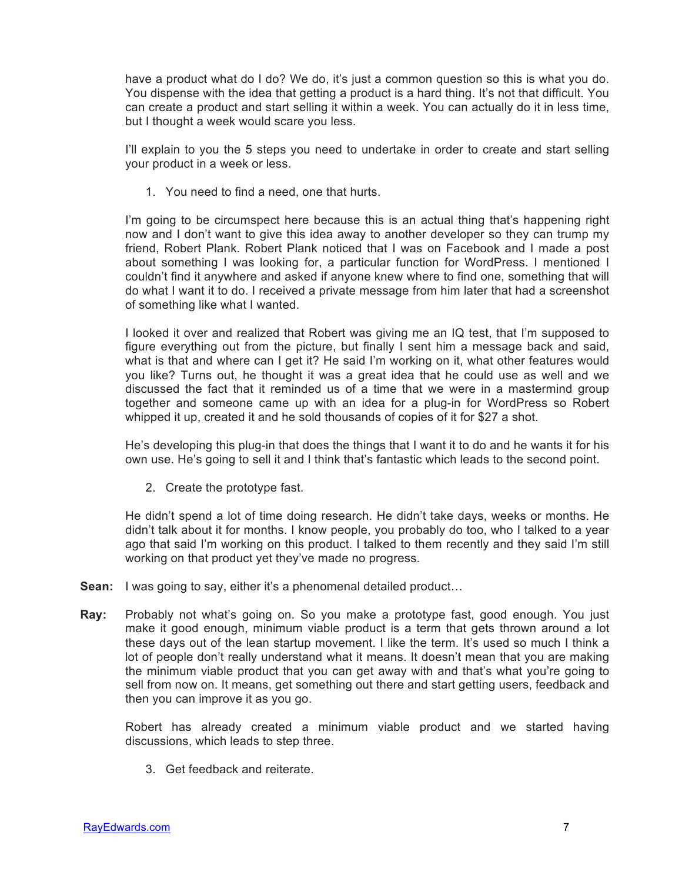have a product what do I do? We do, it's just a common question so this is what you do. You dispense with the idea that getting a product is a hard thing. It's not that difficult. You can create a product and start selling it within a week. You can actually do it in less time, but I thought a week would scare you less.

I'll explain to you the 5 steps you need to undertake in order to create and start selling your product in a week or less.

1. You need to find a need, one that hurts.

I'm going to be circumspect here because this is an actual thing that's happening right now and I don't want to give this idea away to another developer so they can trump my friend, Robert Plank. Robert Plank noticed that I was on Facebook and I made a post about something I was looking for, a particular function for WordPress. I mentioned I couldn't find it anywhere and asked if anyone knew where to find one, something that will do what I want it to do. I received a private message from him later that had a screenshot of something like what I wanted.

I looked it over and realized that Robert was giving me an IQ test, that I'm supposed to figure everything out from the picture, but finally I sent him a message back and said, what is that and where can I get it? He said I'm working on it, what other features would you like? Turns out, he thought it was a great idea that he could use as well and we discussed the fact that it reminded us of a time that we were in a mastermind group together and someone came up with an idea for a plug-in for WordPress so Robert whipped it up, created it and he sold thousands of copies of it for \$27 a shot.

He's developing this plug-in that does the things that I want it to do and he wants it for his own use. He's going to sell it and I think that's fantastic which leads to the second point.

2. Create the prototype fast.

He didn't spend a lot of time doing research. He didn't take days, weeks or months. He didn't talk about it for months. I know people, you probably do too, who I talked to a year ago that said I'm working on this product. I talked to them recently and they said I'm still working on that product yet they've made no progress.

- **Sean:** I was going to say, either it's a phenomenal detailed product...
- **Ray:** Probably not what's going on. So you make a prototype fast, good enough. You just make it good enough, minimum viable product is a term that gets thrown around a lot these days out of the lean startup movement. I like the term. It's used so much I think a lot of people don't really understand what it means. It doesn't mean that you are making the minimum viable product that you can get away with and that's what you're going to sell from now on. It means, get something out there and start getting users, feedback and then you can improve it as you go.

Robert has already created a minimum viable product and we started having discussions, which leads to step three.

3. Get feedback and reiterate.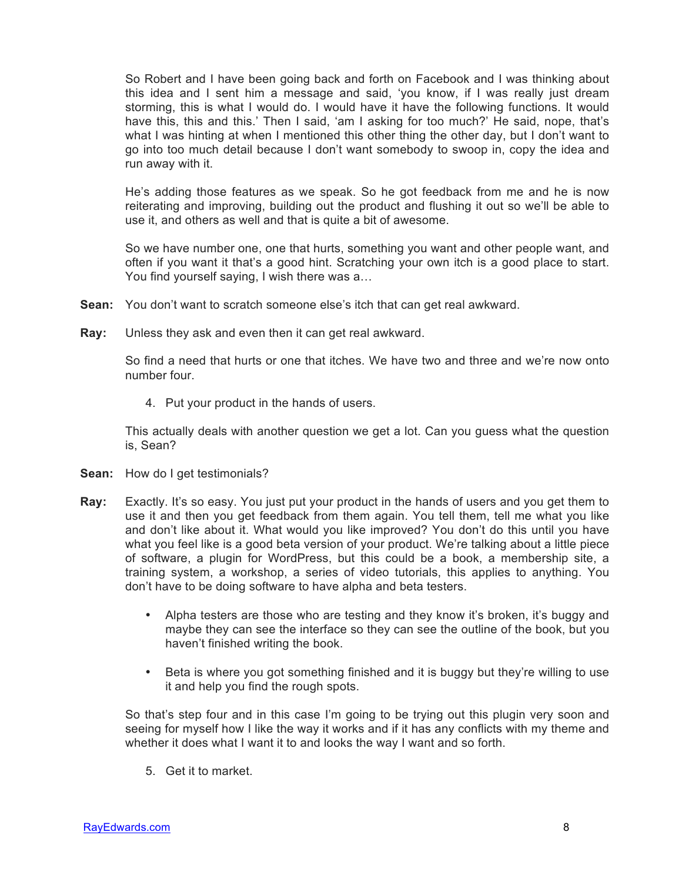So Robert and I have been going back and forth on Facebook and I was thinking about this idea and I sent him a message and said, 'you know, if I was really just dream storming, this is what I would do. I would have it have the following functions. It would have this, this and this.' Then I said, 'am I asking for too much?' He said, nope, that's what I was hinting at when I mentioned this other thing the other day, but I don't want to go into too much detail because I don't want somebody to swoop in, copy the idea and run away with it.

He's adding those features as we speak. So he got feedback from me and he is now reiterating and improving, building out the product and flushing it out so we'll be able to use it, and others as well and that is quite a bit of awesome.

So we have number one, one that hurts, something you want and other people want, and often if you want it that's a good hint. Scratching your own itch is a good place to start. You find yourself saying, I wish there was a…

- **Sean:** You don't want to scratch someone else's itch that can get real awkward.
- **Ray:** Unless they ask and even then it can get real awkward.

So find a need that hurts or one that itches. We have two and three and we're now onto number four.

4. Put your product in the hands of users.

This actually deals with another question we get a lot. Can you guess what the question is, Sean?

- **Sean:** How do I get testimonials?
- **Ray:** Exactly. It's so easy. You just put your product in the hands of users and you get them to use it and then you get feedback from them again. You tell them, tell me what you like and don't like about it. What would you like improved? You don't do this until you have what you feel like is a good beta version of your product. We're talking about a little piece of software, a plugin for WordPress, but this could be a book, a membership site, a training system, a workshop, a series of video tutorials, this applies to anything. You don't have to be doing software to have alpha and beta testers.
	- Alpha testers are those who are testing and they know it's broken, it's buggy and maybe they can see the interface so they can see the outline of the book, but you haven't finished writing the book.
	- Beta is where you got something finished and it is buggy but they're willing to use it and help you find the rough spots.

So that's step four and in this case I'm going to be trying out this plugin very soon and seeing for myself how I like the way it works and if it has any conflicts with my theme and whether it does what I want it to and looks the way I want and so forth.

5. Get it to market.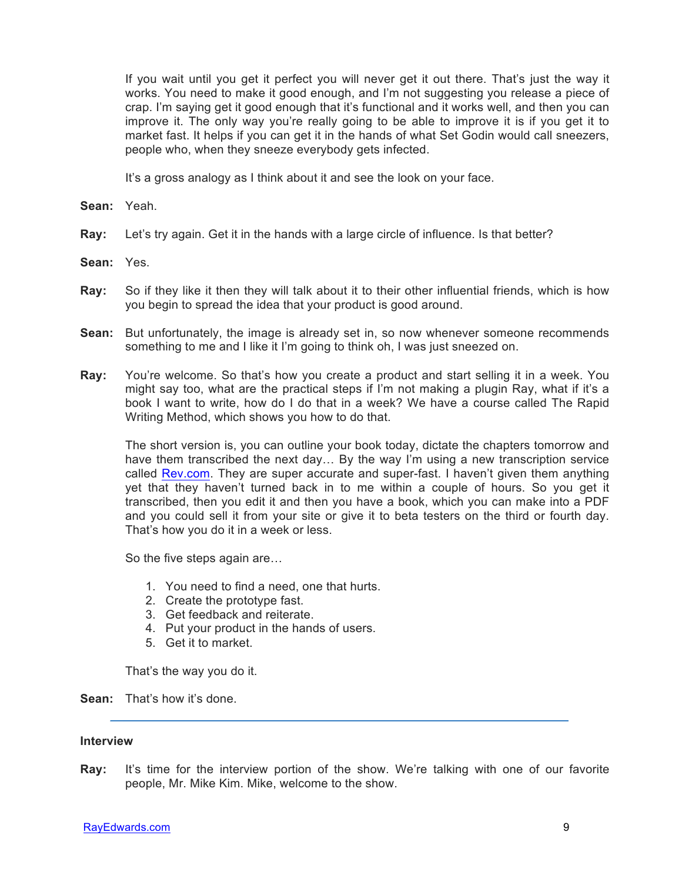If you wait until you get it perfect you will never get it out there. That's just the way it works. You need to make it good enough, and I'm not suggesting you release a piece of crap. I'm saying get it good enough that it's functional and it works well, and then you can improve it. The only way you're really going to be able to improve it is if you get it to market fast. It helps if you can get it in the hands of what Set Godin would call sneezers, people who, when they sneeze everybody gets infected.

It's a gross analogy as I think about it and see the look on your face.

- **Sean:** Yeah.
- **Ray:** Let's try again. Get it in the hands with a large circle of influence. Is that better?
- **Sean:** Yes.
- **Ray:** So if they like it then they will talk about it to their other influential friends, which is how you begin to spread the idea that your product is good around.
- **Sean:** But unfortunately, the image is already set in, so now whenever someone recommends something to me and I like it I'm going to think oh, I was just sneezed on.
- **Ray:** You're welcome. So that's how you create a product and start selling it in a week. You might say too, what are the practical steps if I'm not making a plugin Ray, what if it's a book I want to write, how do I do that in a week? We have a course called The Rapid Writing Method, which shows you how to do that.

The short version is, you can outline your book today, dictate the chapters tomorrow and have them transcribed the next day… By the way I'm using a new transcription service called Rev.com. They are super accurate and super-fast. I haven't given them anything yet that they haven't turned back in to me within a couple of hours. So you get it transcribed, then you edit it and then you have a book, which you can make into a PDF and you could sell it from your site or give it to beta testers on the third or fourth day. That's how you do it in a week or less.

So the five steps again are…

- 1. You need to find a need, one that hurts.
- 2. Create the prototype fast.
- 3. Get feedback and reiterate.
- 4. Put your product in the hands of users.
- 5. Get it to market.

That's the way you do it.

**Sean:** That's how it's done.

## **Interview**

**Ray:** It's time for the interview portion of the show. We're talking with one of our favorite people, Mr. Mike Kim. Mike, welcome to the show.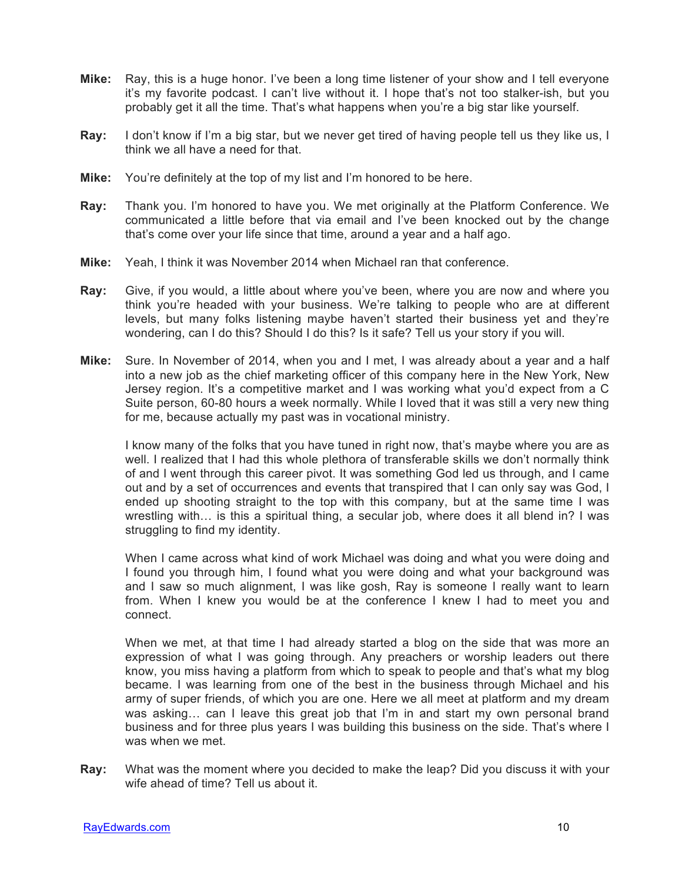- **Mike:** Ray, this is a huge honor. I've been a long time listener of your show and I tell everyone it's my favorite podcast. I can't live without it. I hope that's not too stalker-ish, but you probably get it all the time. That's what happens when you're a big star like yourself.
- **Ray:** I don't know if I'm a big star, but we never get tired of having people tell us they like us, I think we all have a need for that.
- **Mike:** You're definitely at the top of my list and I'm honored to be here.
- **Ray:** Thank you. I'm honored to have you. We met originally at the Platform Conference. We communicated a little before that via email and I've been knocked out by the change that's come over your life since that time, around a year and a half ago.
- **Mike:** Yeah, I think it was November 2014 when Michael ran that conference.
- **Ray:** Give, if you would, a little about where you've been, where you are now and where you think you're headed with your business. We're talking to people who are at different levels, but many folks listening maybe haven't started their business yet and they're wondering, can I do this? Should I do this? Is it safe? Tell us your story if you will.
- **Mike:** Sure. In November of 2014, when you and I met, I was already about a year and a half into a new job as the chief marketing officer of this company here in the New York, New Jersey region. It's a competitive market and I was working what you'd expect from a C Suite person, 60-80 hours a week normally. While I loved that it was still a very new thing for me, because actually my past was in vocational ministry.

I know many of the folks that you have tuned in right now, that's maybe where you are as well. I realized that I had this whole plethora of transferable skills we don't normally think of and I went through this career pivot. It was something God led us through, and I came out and by a set of occurrences and events that transpired that I can only say was God, I ended up shooting straight to the top with this company, but at the same time I was wrestling with… is this a spiritual thing, a secular job, where does it all blend in? I was struggling to find my identity.

When I came across what kind of work Michael was doing and what you were doing and I found you through him, I found what you were doing and what your background was and I saw so much alignment, I was like gosh, Ray is someone I really want to learn from. When I knew you would be at the conference I knew I had to meet you and connect.

When we met, at that time I had already started a blog on the side that was more an expression of what I was going through. Any preachers or worship leaders out there know, you miss having a platform from which to speak to people and that's what my blog became. I was learning from one of the best in the business through Michael and his army of super friends, of which you are one. Here we all meet at platform and my dream was asking… can I leave this great job that I'm in and start my own personal brand business and for three plus years I was building this business on the side. That's where I was when we met.

**Ray:** What was the moment where you decided to make the leap? Did you discuss it with your wife ahead of time? Tell us about it.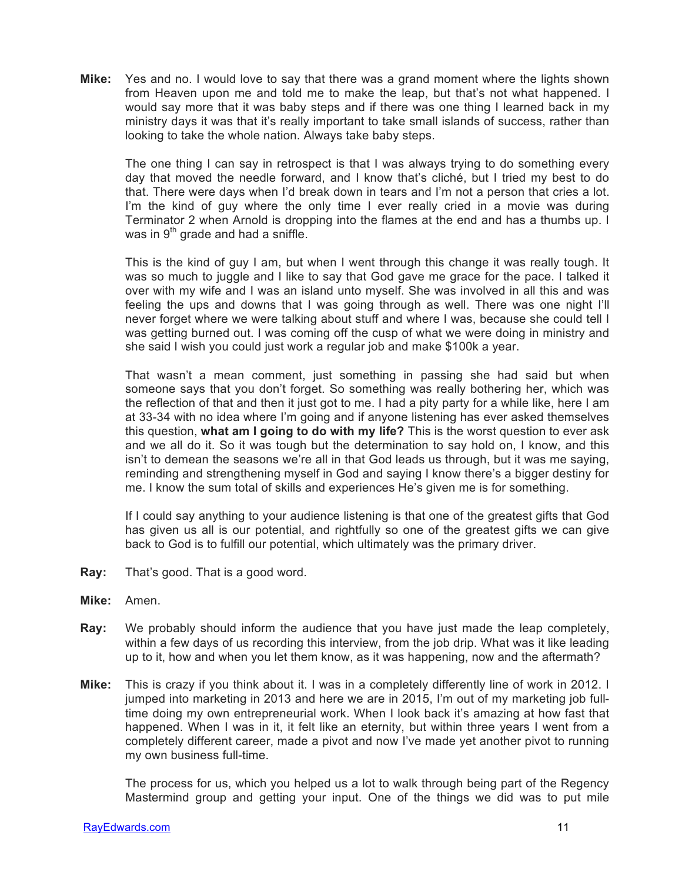**Mike:** Yes and no. I would love to say that there was a grand moment where the lights shown from Heaven upon me and told me to make the leap, but that's not what happened. I would say more that it was baby steps and if there was one thing I learned back in my ministry days it was that it's really important to take small islands of success, rather than looking to take the whole nation. Always take baby steps.

The one thing I can say in retrospect is that I was always trying to do something every day that moved the needle forward, and I know that's cliché, but I tried my best to do that. There were days when I'd break down in tears and I'm not a person that cries a lot. I'm the kind of guy where the only time I ever really cried in a movie was during Terminator 2 when Arnold is dropping into the flames at the end and has a thumbs up. I was in  $9<sup>th</sup>$  grade and had a sniffle.

This is the kind of guy I am, but when I went through this change it was really tough. It was so much to juggle and I like to say that God gave me grace for the pace. I talked it over with my wife and I was an island unto myself. She was involved in all this and was feeling the ups and downs that I was going through as well. There was one night I'll never forget where we were talking about stuff and where I was, because she could tell I was getting burned out. I was coming off the cusp of what we were doing in ministry and she said I wish you could just work a regular job and make \$100k a year.

That wasn't a mean comment, just something in passing she had said but when someone says that you don't forget. So something was really bothering her, which was the reflection of that and then it just got to me. I had a pity party for a while like, here I am at 33-34 with no idea where I'm going and if anyone listening has ever asked themselves this question, **what am I going to do with my life?** This is the worst question to ever ask and we all do it. So it was tough but the determination to say hold on, I know, and this isn't to demean the seasons we're all in that God leads us through, but it was me saying, reminding and strengthening myself in God and saying I know there's a bigger destiny for me. I know the sum total of skills and experiences He's given me is for something.

If I could say anything to your audience listening is that one of the greatest gifts that God has given us all is our potential, and rightfully so one of the greatest gifts we can give back to God is to fulfill our potential, which ultimately was the primary driver.

- **Ray:** That's good. That is a good word.
- **Mike:** Amen.
- **Ray:** We probably should inform the audience that you have just made the leap completely, within a few days of us recording this interview, from the job drip. What was it like leading up to it, how and when you let them know, as it was happening, now and the aftermath?
- **Mike:** This is crazy if you think about it. I was in a completely differently line of work in 2012. I jumped into marketing in 2013 and here we are in 2015, I'm out of my marketing job fulltime doing my own entrepreneurial work. When I look back it's amazing at how fast that happened. When I was in it, it felt like an eternity, but within three years I went from a completely different career, made a pivot and now I've made yet another pivot to running my own business full-time.

The process for us, which you helped us a lot to walk through being part of the Regency Mastermind group and getting your input. One of the things we did was to put mile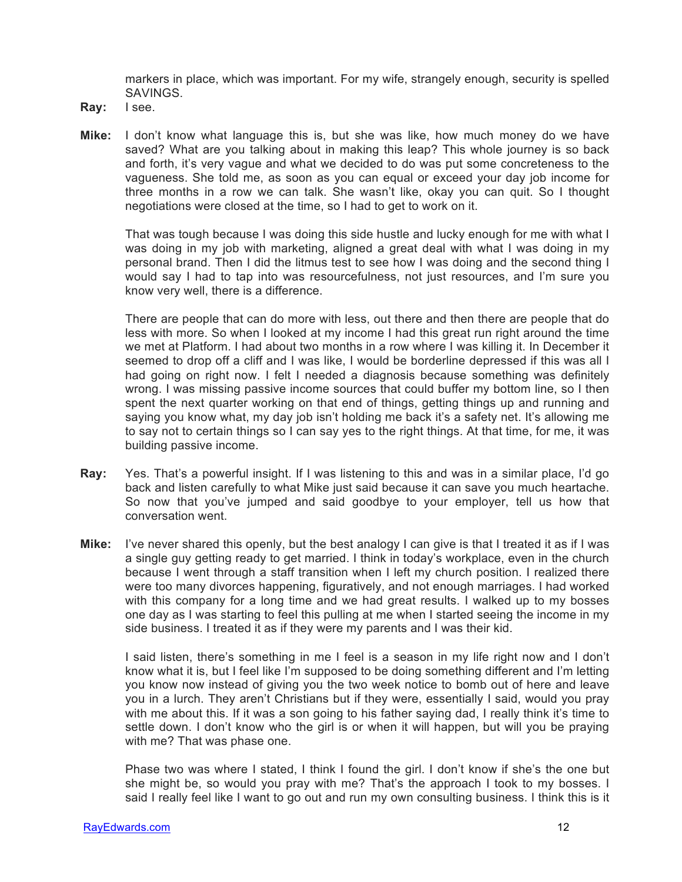markers in place, which was important. For my wife, strangely enough, security is spelled SAVINGS.

- **Ray:** I see.
- **Mike:** I don't know what language this is, but she was like, how much money do we have saved? What are you talking about in making this leap? This whole journey is so back and forth, it's very vague and what we decided to do was put some concreteness to the vagueness. She told me, as soon as you can equal or exceed your day job income for three months in a row we can talk. She wasn't like, okay you can quit. So I thought negotiations were closed at the time, so I had to get to work on it.

That was tough because I was doing this side hustle and lucky enough for me with what I was doing in my job with marketing, aligned a great deal with what I was doing in my personal brand. Then I did the litmus test to see how I was doing and the second thing I would say I had to tap into was resourcefulness, not just resources, and I'm sure you know very well, there is a difference.

There are people that can do more with less, out there and then there are people that do less with more. So when I looked at my income I had this great run right around the time we met at Platform. I had about two months in a row where I was killing it. In December it seemed to drop off a cliff and I was like, I would be borderline depressed if this was all I had going on right now. I felt I needed a diagnosis because something was definitely wrong. I was missing passive income sources that could buffer my bottom line, so I then spent the next quarter working on that end of things, getting things up and running and saying you know what, my day job isn't holding me back it's a safety net. It's allowing me to say not to certain things so I can say yes to the right things. At that time, for me, it was building passive income.

- **Ray:** Yes. That's a powerful insight. If I was listening to this and was in a similar place, I'd go back and listen carefully to what Mike just said because it can save you much heartache. So now that you've jumped and said goodbye to your employer, tell us how that conversation went.
- **Mike:** I've never shared this openly, but the best analogy I can give is that I treated it as if I was a single guy getting ready to get married. I think in today's workplace, even in the church because I went through a staff transition when I left my church position. I realized there were too many divorces happening, figuratively, and not enough marriages. I had worked with this company for a long time and we had great results. I walked up to my bosses one day as I was starting to feel this pulling at me when I started seeing the income in my side business. I treated it as if they were my parents and I was their kid.

I said listen, there's something in me I feel is a season in my life right now and I don't know what it is, but I feel like I'm supposed to be doing something different and I'm letting you know now instead of giving you the two week notice to bomb out of here and leave you in a lurch. They aren't Christians but if they were, essentially I said, would you pray with me about this. If it was a son going to his father saying dad, I really think it's time to settle down. I don't know who the girl is or when it will happen, but will you be praying with me? That was phase one.

Phase two was where I stated, I think I found the girl. I don't know if she's the one but she might be, so would you pray with me? That's the approach I took to my bosses. I said I really feel like I want to go out and run my own consulting business. I think this is it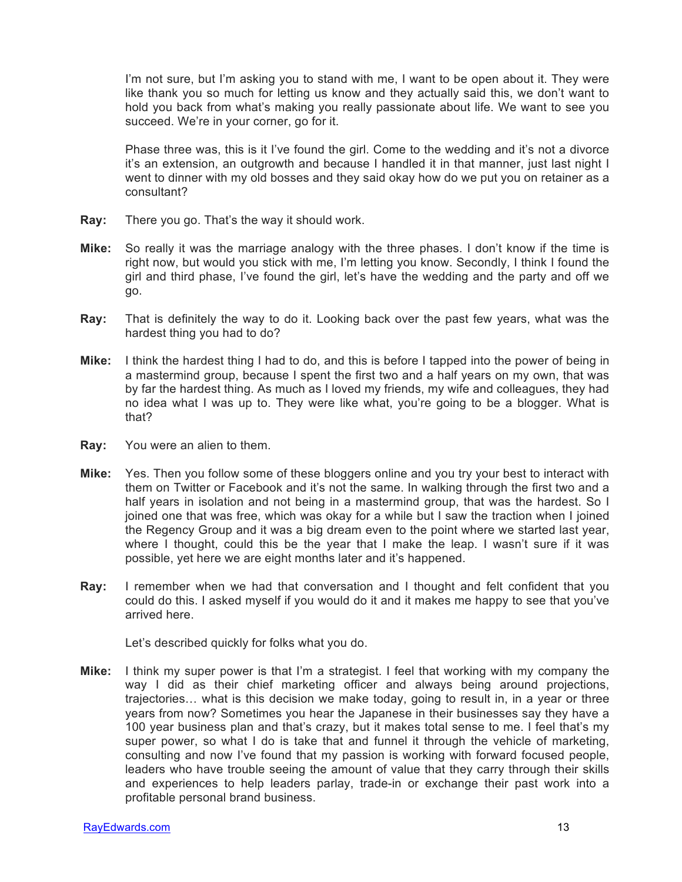I'm not sure, but I'm asking you to stand with me, I want to be open about it. They were like thank you so much for letting us know and they actually said this, we don't want to hold you back from what's making you really passionate about life. We want to see you succeed. We're in your corner, go for it.

Phase three was, this is it I've found the girl. Come to the wedding and it's not a divorce it's an extension, an outgrowth and because I handled it in that manner, just last night I went to dinner with my old bosses and they said okay how do we put you on retainer as a consultant?

- **Ray:** There you go. That's the way it should work.
- **Mike:** So really it was the marriage analogy with the three phases. I don't know if the time is right now, but would you stick with me, I'm letting you know. Secondly, I think I found the girl and third phase, I've found the girl, let's have the wedding and the party and off we go.
- **Ray:** That is definitely the way to do it. Looking back over the past few years, what was the hardest thing you had to do?
- **Mike:** I think the hardest thing I had to do, and this is before I tapped into the power of being in a mastermind group, because I spent the first two and a half years on my own, that was by far the hardest thing. As much as I loved my friends, my wife and colleagues, they had no idea what I was up to. They were like what, you're going to be a blogger. What is that?
- **Ray:** You were an alien to them.
- **Mike:** Yes. Then you follow some of these bloggers online and you try your best to interact with them on Twitter or Facebook and it's not the same. In walking through the first two and a half years in isolation and not being in a mastermind group, that was the hardest. So I joined one that was free, which was okay for a while but I saw the traction when I joined the Regency Group and it was a big dream even to the point where we started last year, where I thought, could this be the year that I make the leap. I wasn't sure if it was possible, yet here we are eight months later and it's happened.
- **Ray:** I remember when we had that conversation and I thought and felt confident that you could do this. I asked myself if you would do it and it makes me happy to see that you've arrived here.

Let's described quickly for folks what you do.

**Mike:** I think my super power is that I'm a strategist. I feel that working with my company the way I did as their chief marketing officer and always being around projections, trajectories… what is this decision we make today, going to result in, in a year or three years from now? Sometimes you hear the Japanese in their businesses say they have a 100 year business plan and that's crazy, but it makes total sense to me. I feel that's my super power, so what I do is take that and funnel it through the vehicle of marketing, consulting and now I've found that my passion is working with forward focused people, leaders who have trouble seeing the amount of value that they carry through their skills and experiences to help leaders parlay, trade-in or exchange their past work into a profitable personal brand business.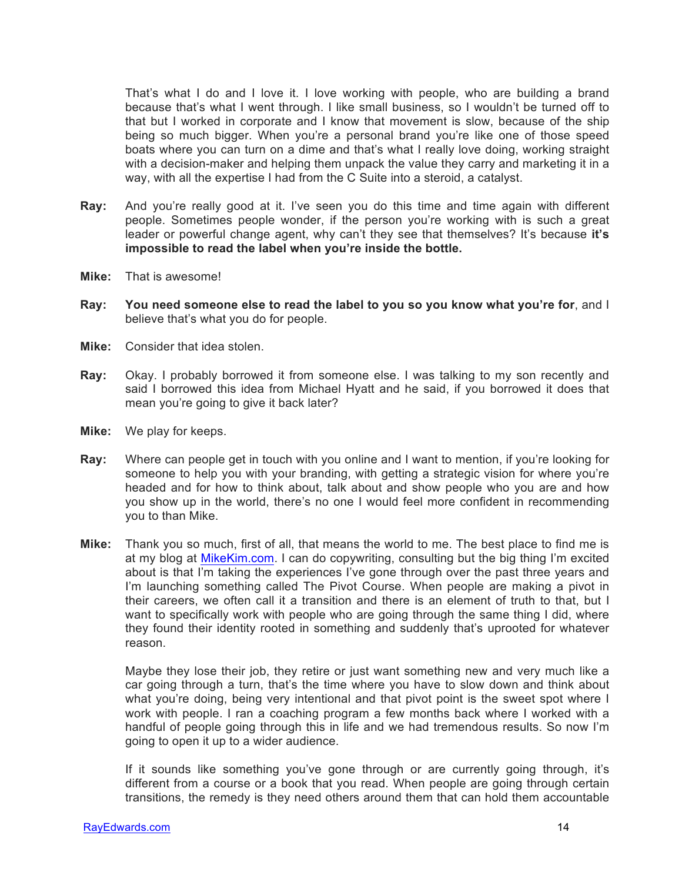That's what I do and I love it. I love working with people, who are building a brand because that's what I went through. I like small business, so I wouldn't be turned off to that but I worked in corporate and I know that movement is slow, because of the ship being so much bigger. When you're a personal brand you're like one of those speed boats where you can turn on a dime and that's what I really love doing, working straight with a decision-maker and helping them unpack the value they carry and marketing it in a way, with all the expertise I had from the C Suite into a steroid, a catalyst.

- **Ray:** And you're really good at it. I've seen you do this time and time again with different people. Sometimes people wonder, if the person you're working with is such a great leader or powerful change agent, why can't they see that themselves? It's because it's **impossible to read the label when you're inside the bottle.**
- **Mike:** That is awesome!
- **Ray: You need someone else to read the label to you so you know what you're for**, and I believe that's what you do for people.
- **Mike:** Consider that idea stolen.
- **Ray:** Okay. I probably borrowed it from someone else. I was talking to my son recently and said I borrowed this idea from Michael Hyatt and he said, if you borrowed it does that mean you're going to give it back later?
- **Mike:** We play for keeps.
- **Ray:** Where can people get in touch with you online and I want to mention, if you're looking for someone to help you with your branding, with getting a strategic vision for where you're headed and for how to think about, talk about and show people who you are and how you show up in the world, there's no one I would feel more confident in recommending you to than Mike.
- **Mike:** Thank you so much, first of all, that means the world to me. The best place to find me is at my blog at MikeKim.com. I can do copywriting, consulting but the big thing I'm excited about is that I'm taking the experiences I've gone through over the past three years and I'm launching something called The Pivot Course. When people are making a pivot in their careers, we often call it a transition and there is an element of truth to that, but I want to specifically work with people who are going through the same thing I did, where they found their identity rooted in something and suddenly that's uprooted for whatever reason.

Maybe they lose their job, they retire or just want something new and very much like a car going through a turn, that's the time where you have to slow down and think about what you're doing, being very intentional and that pivot point is the sweet spot where I work with people. I ran a coaching program a few months back where I worked with a handful of people going through this in life and we had tremendous results. So now I'm going to open it up to a wider audience.

If it sounds like something you've gone through or are currently going through, it's different from a course or a book that you read. When people are going through certain transitions, the remedy is they need others around them that can hold them accountable